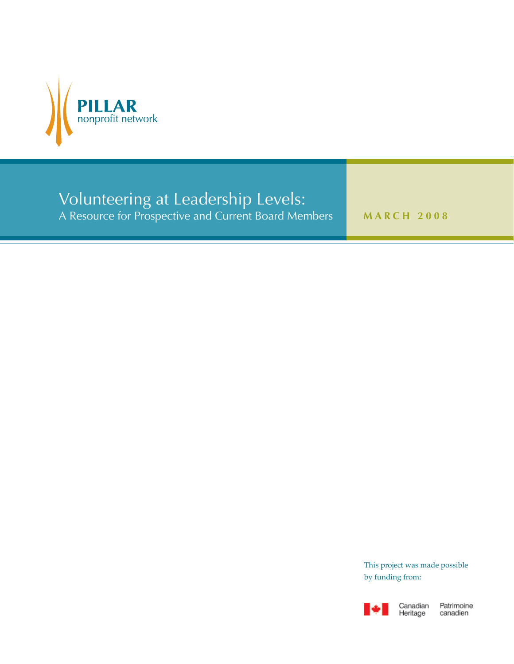

# Volunteering at Leadership Levels:

A Resource for Prospective and Current Board Members **MARCH 2008** 

This project was made possible by funding from:



Patrimoine canadien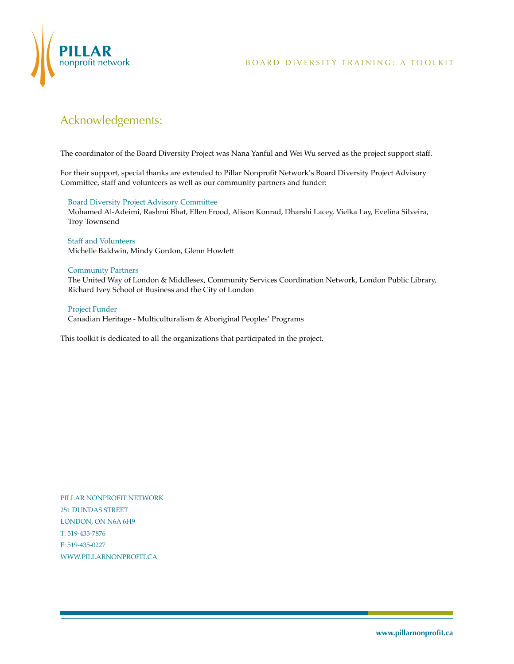

# Acknowledgements:

The coordinator of the Board Diversity Project was Nana Yanful and Wei Wu served as the project support staff.

For their support, special thanks are extended to Pillar Nonprofit Network's Board Diversity Project Advisory Committee, staff and volunteers as well as our community partners and funder:

### Board Diversity Project Advisory Committee

Mohamed Al-Adeimi, Rashmi Bhat, Ellen Frood, Alison Konrad, Dharshi Lacey, Vielka Lay, Evelina Silveira, Troy Townsend

### Staff and Volunteers Michelle Baldwin, Mindy Gordon, Glenn Howlett

### Community Partners

The United Way of London & Middlesex, Community Services Coordination Network, London Public Library, Richard Ivey School of Business and the City of London

### Project Funder

Canadian Heritage - Multiculturalism & Aboriginal Peoples' Programs

This toolkit is dedicated to all the organizations that participated in the project.

PILLAR NONPROFIT NETWORK 251 DUNDAS STREET LONDON, ON N6A 6H9 T: 519-433-7876 F: 519-435-0227 WWW.PILLARNONPROFIT.CA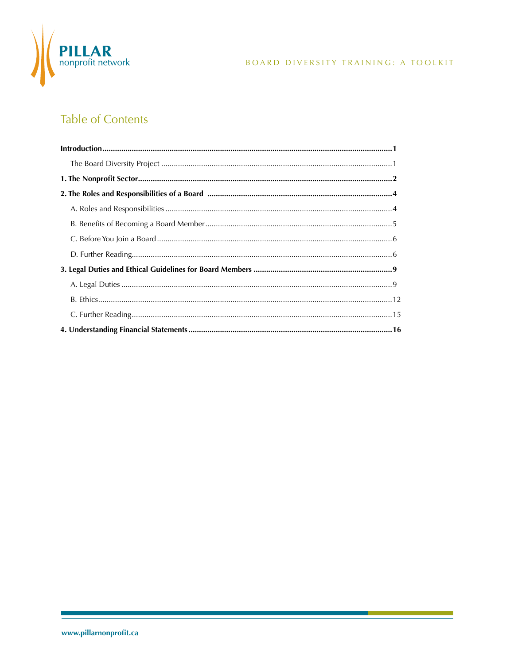

# **Table of Contents**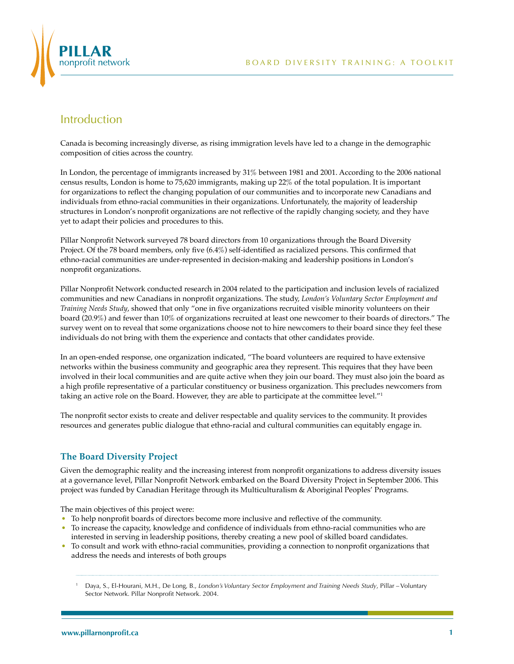



# Introduction

Canada is becoming increasingly diverse, as rising immigration levels have led to a change in the demographic composition of cities across the country.

In London, the percentage of immigrants increased by 31% between 1981 and 2001. According to the 2006 national census results, London is home to 75,620 immigrants, making up 22% of the total population. It is important for organizations to reflect the changing population of our communities and to incorporate new Canadians and individuals from ethno-racial communities in their organizations. Unfortunately, the majority of leadership structures in London's nonprofit organizations are not reflective of the rapidly changing society, and they have yet to adapt their policies and procedures to this.

Pillar Nonprofit Network surveyed 78 board directors from 10 organizations through the Board Diversity Project. Of the 78 board members, only five (6.4%) self-identified as racialized persons. This confirmed that ethno-racial communities are under-represented in decision-making and leadership positions in London's nonprofit organizations.

Pillar Nonprofit Network conducted research in 2004 related to the participation and inclusion levels of racialized communities and new Canadians in nonprofit organizations. The study, *London's Voluntary Sector Employment and Training Needs Study*, showed that only "one in five organizations recruited visible minority volunteers on their board (20.9%) and fewer than 10% of organizations recruited at least one newcomer to their boards of directors." The survey went on to reveal that some organizations choose not to hire newcomers to their board since they feel these individuals do not bring with them the experience and contacts that other candidates provide.

In an open-ended response, one organization indicated, "The board volunteers are required to have extensive networks within the business community and geographic area they represent. This requires that they have been involved in their local communities and are quite active when they join our board. They must also join the board as a high profile representative of a particular constituency or business organization. This precludes newcomers from taking an active role on the Board. However, they are able to participate at the committee level."<sup>1</sup>

The nonprofit sector exists to create and deliver respectable and quality services to the community. It provides resources and generates public dialogue that ethno-racial and cultural communities can equitably engage in.

### **The Board Diversity Project**

Given the demographic reality and the increasing interest from nonprofit organizations to address diversity issues at a governance level, Pillar Nonprofit Network embarked on the Board Diversity Project in September 2006. This project was funded by Canadian Heritage through its Multiculturalism & Aboriginal Peoples' Programs.

The main objectives of this project were:

- To help nonprofit boards of directors become more inclusive and reflective of the community.
- To increase the capacity, knowledge and confidence of individuals from ethno-racial communities who are interested in serving in leadership positions, thereby creating a new pool of skilled board candidates.
- To consult and work with ethno-racial communities, providing a connection to nonprofit organizations that address the needs and interests of both groups

<sup>1</sup> Daya, S., El-Hourani, M.H., De Long, B., *London's Voluntary Sector Employment and Training Needs Study*, Pillar – Voluntary Sector Network. Pillar Nonprofit Network. 2004.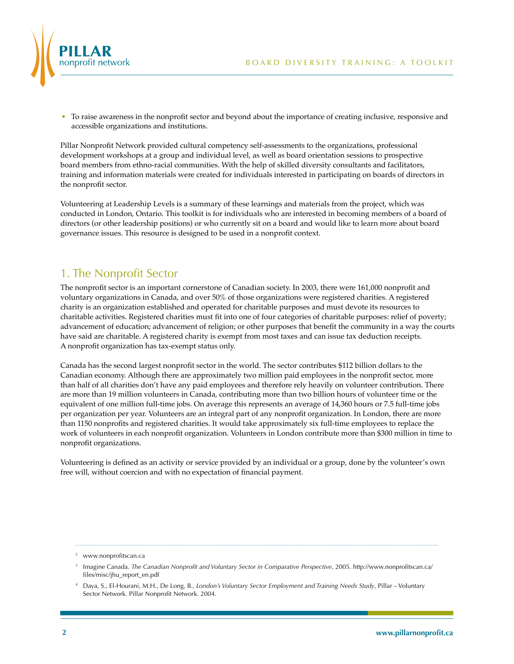

• To raise awareness in the nonprofit sector and beyond about the importance of creating inclusive, responsive and accessible organizations and institutions.

Pillar Nonprofit Network provided cultural competency self-assessments to the organizations, professional development workshops at a group and individual level, as well as board orientation sessions to prospective board members from ethno-racial communities. With the help of skilled diversity consultants and facilitators, training and information materials were created for individuals interested in participating on boards of directors in the nonprofit sector.

Volunteering at Leadership Levels is a summary of these learnings and materials from the project, which was conducted in London, Ontario. This toolkit is for individuals who are interested in becoming members of a board of directors (or other leadership positions) or who currently sit on a board and would like to learn more about board governance issues. This resource is designed to be used in a nonprofit context.

# 1. The Nonprofit Sector

The nonprofit sector is an important cornerstone of Canadian society. In 2003, there were 161,000 nonprofit and voluntary organizations in Canada, and over 50% of those organizations were registered charities. A registered charity is an organization established and operated for charitable purposes and must devote its resources to charitable activities. Registered charities must fit into one of four categories of charitable purposes: relief of poverty; advancement of education; advancement of religion; or other purposes that benefit the community in a way the courts have said are charitable. A registered charity is exempt from most taxes and can issue tax deduction receipts. A nonprofit organization has tax-exempt status only.

Canada has the second largest nonprofit sector in the world. The sector contributes \$112 billion dollars to the Canadian economy. Although there are approximately two million paid employees in the nonprofit sector, more than half of all charities don't have any paid employees and therefore rely heavily on volunteer contribution. There are more than 19 million volunteers in Canada, contributing more than two billion hours of volunteer time or the equivalent of one million full-time jobs. On average this represents an average of 14,360 hours or 7.5 full-time jobs per organization per year. Volunteers are an integral part of any nonprofit organization. In London, there are more than 1150 nonprofits and registered charities. It would take approximately six full-time employees to replace the work of volunteers in each nonprofit organization. Volunteers in London contribute more than \$300 million in time to nonprofit organizations.

Volunteering is defined as an activity or service provided by an individual or a group, done by the volunteer's own free will, without coercion and with no expectation of financial payment.

<sup>2</sup> www.nonprofitscan.ca

<sup>3</sup> Imagine Canada. *The Canadian Nonprofit and Voluntary Sector in Comparative Perspective*, 2005. http://www.nonprofitscan.ca/ files/misc/jhu\_report\_en.pdf

<sup>4</sup> Daya, S., El-Hourani, M.H., De Long, B., *London's Voluntary Sector Employment and Training Needs Study*, Pillar – Voluntary Sector Network. Pillar Nonprofit Network. 2004.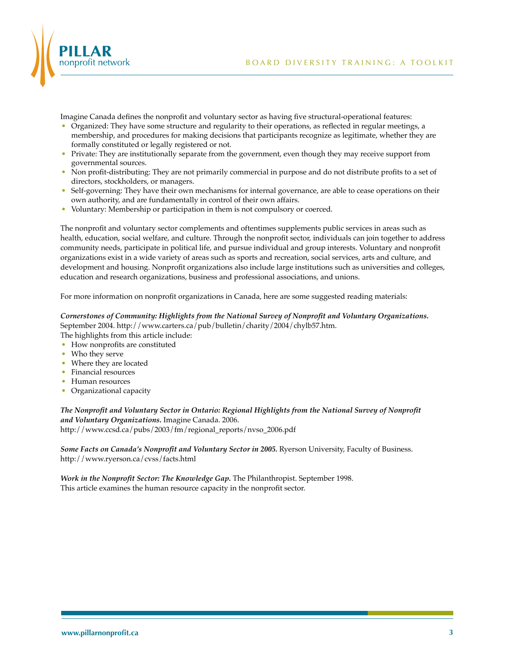



Imagine Canada defines the nonprofit and voluntary sector as having five structural-operational features:

- Organized: They have some structure and regularity to their operations, as reflected in regular meetings, a membership, and procedures for making decisions that participants recognize as legitimate, whether they are formally constituted or legally registered or not.
- Private: They are institutionally separate from the government, even though they may receive support from governmental sources.
- Non profit-distributing: They are not primarily commercial in purpose and do not distribute profits to a set of directors, stockholders, or managers.
- Self-governing: They have their own mechanisms for internal governance, are able to cease operations on their own authority, and are fundamentally in control of their own affairs.
- Voluntary: Membership or participation in them is not compulsory or coerced.

The nonprofit and voluntary sector complements and oftentimes supplements public services in areas such as health, education, social welfare, and culture. Through the nonprofit sector, individuals can join together to address community needs, participate in political life, and pursue individual and group interests. Voluntary and nonprofit organizations exist in a wide variety of areas such as sports and recreation, social services, arts and culture, and development and housing. Nonprofit organizations also include large institutions such as universities and colleges, education and research organizations, business and professional associations, and unions.

For more information on nonprofit organizations in Canada, here are some suggested reading materials:

### *Cornerstones of Community: Highlights from the National Survey of Nonprofit and Voluntary Organizations.* September 2004. http://www.carters.ca/pub/bulletin/charity/2004/chylb57.htm.

The highlights from this article include:

- How nonprofits are constituted
- Who they serve
- Where they are located
- Financial resources
- Human resources
- Organizational capacity

### *The Nonprofit and Voluntary Sector in Ontario: Regional Highlights from the National Survey of Nonprofit and Voluntary Organizations.* Imagine Canada. 2006. http://www.ccsd.ca/pubs/2003/fm/regional\_reports/nvso\_2006.pdf

*Some Facts on Canada's Nonprofit and Voluntary Sector in 2005.* Ryerson University, Faculty of Business. http://www.ryerson.ca/cvss/facts.html

*Work in the Nonprofit Sector: The Knowledge Gap.* The Philanthropist. September 1998. This article examines the human resource capacity in the nonprofit sector.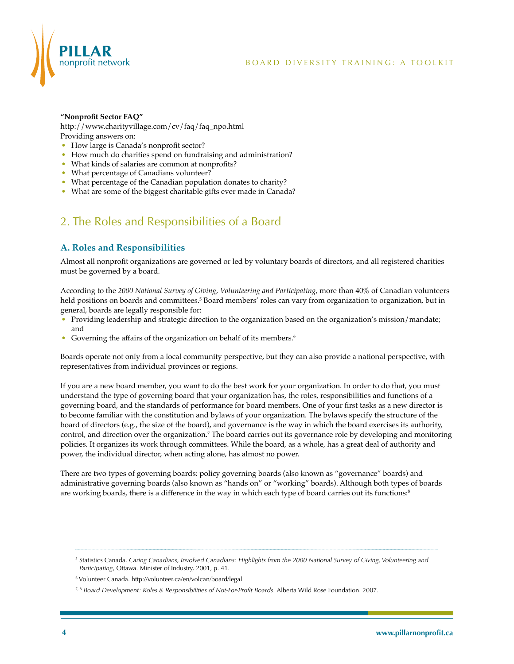

#### **"Nonprofit Sector FAQ"**

http://www.charityvillage.com/cv/faq/faq\_npo.html Providing answers on:

- How large is Canada's nonprofit sector?
- How much do charities spend on fundraising and administration?
- What kinds of salaries are common at nonprofits?
- What percentage of Canadians volunteer?
- What percentage of the Canadian population donates to charity?
- What are some of the biggest charitable gifts ever made in Canada?

# 2. The Roles and Responsibilities of a Board

### **A. Roles and Responsibilities**

Almost all nonprofit organizations are governed or led by voluntary boards of directors, and all registered charities must be governed by a board.

According to the *2000 National Survey of Giving, Volunteering and Participating*, more than 40% of Canadian volunteers held positions on boards and committees.<sup>5</sup> Board members' roles can vary from organization to organization*,* but in general, boards are legally responsible for:

- Providing leadership and strategic direction to the organization based on the organization's mission/mandate; and
- Governing the affairs of the organization on behalf of its members.<sup>6</sup>

Boards operate not only from a local community perspective, but they can also provide a national perspective, with representatives from individual provinces or regions.

If you are a new board member, you want to do the best work for your organization. In order to do that, you must understand the type of governing board that your organization has, the roles, responsibilities and functions of a governing board, and the standards of performance for board members. One of your first tasks as a new director is to become familiar with the constitution and bylaws of your organization. The bylaws specify the structure of the board of directors (e.g., the size of the board), and governance is the way in which the board exercises its authority, control, and direction over the organization.<sup>7</sup> The board carries out its governance role by developing and monitoring policies. It organizes its work through committees. While the board, as a whole, has a great deal of authority and power, the individual director, when acting alone, has almost no power.

There are two types of governing boards: policy governing boards (also known as "governance" boards) and administrative governing boards (also known as "hands on" or "working" boards). Although both types of boards are working boards, there is a difference in the way in which each type of board carries out its functions:<sup>8</sup>

<sup>5</sup> Statistics Canada. *Caring Canadians, Involved Canadians: Highlights from the 2000 National Survey of Giving, Volunteering and Participating*, Ottawa. Minister of Industry, 2001, p. 41.

<sup>6</sup> Volunteer Canada. http://volunteer.ca/en/volcan/board/legal

<sup>7, 8</sup> *Board Development: Roles & Responsibilities of Not-For-Profit Boards.* Alberta Wild Rose Foundation. 2007.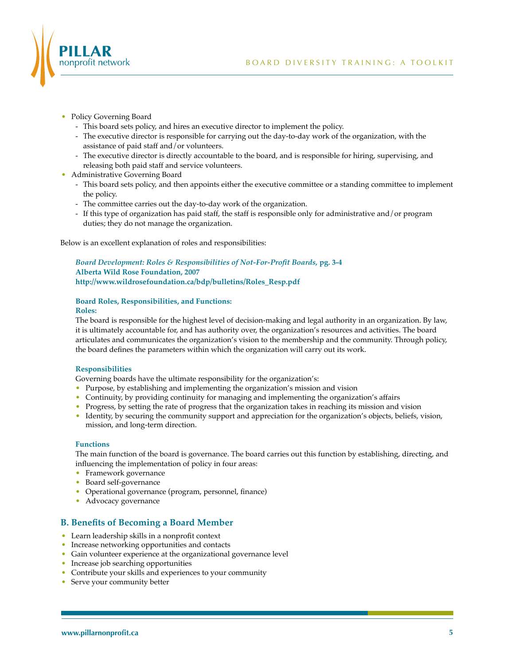

- Policy Governing Board
	- This board sets policy, and hires an executive director to implement the policy.
	- The executive director is responsible for carrying out the day-to-day work of the organization, with the assistance of paid staff and/or volunteers.
	- The executive director is directly accountable to the board, and is responsible for hiring, supervising, and releasing both paid staff and service volunteers.
- Administrative Governing Board
	- This board sets policy, and then appoints either the executive committee or a standing committee to implement the policy.
	- The committee carries out the day-to-day work of the organization.
	- If this type of organization has paid staff, the staff is responsible only for administrative and/or program duties; they do not manage the organization.

Below is an excellent explanation of roles and responsibilities:

*Board Development: Roles & Responsibilities of Not-For-Profit Boards,* **pg. 3-4 Alberta Wild Rose Foundation, 2007 http://www.wildrosefoundation.ca/bdp/bulletins/Roles\_Resp.pdf**

# **Board Roles, Responsibilities, and Functions:**

**Roles:**

The board is responsible for the highest level of decision-making and legal authority in an organization. By law, it is ultimately accountable for, and has authority over, the organization's resources and activities. The board articulates and communicates the organization's vision to the membership and the community. Through policy, the board defines the parameters within which the organization will carry out its work.

### **Responsibilities**

Governing boards have the ultimate responsibility for the organization's:

- Purpose, by establishing and implementing the organization's mission and vision
- Continuity, by providing continuity for managing and implementing the organization's affairs
- Progress, by setting the rate of progress that the organization takes in reaching its mission and vision
- Identity, by securing the community support and appreciation for the organization's objects, beliefs, vision, mission, and long-term direction.

### **Functions**

The main function of the board is governance. The board carries out this function by establishing, directing, and influencing the implementation of policy in four areas:

- Framework governance
- Board self-governance
- Operational governance (program, personnel, finance)
- Advocacy governance

### **B. Benefits of Becoming a Board Member**

- Learn leadership skills in a nonprofit context
- Increase networking opportunities and contacts
- Gain volunteer experience at the organizational governance level
- Increase job searching opportunities
- Contribute your skills and experiences to your community
- Serve your community better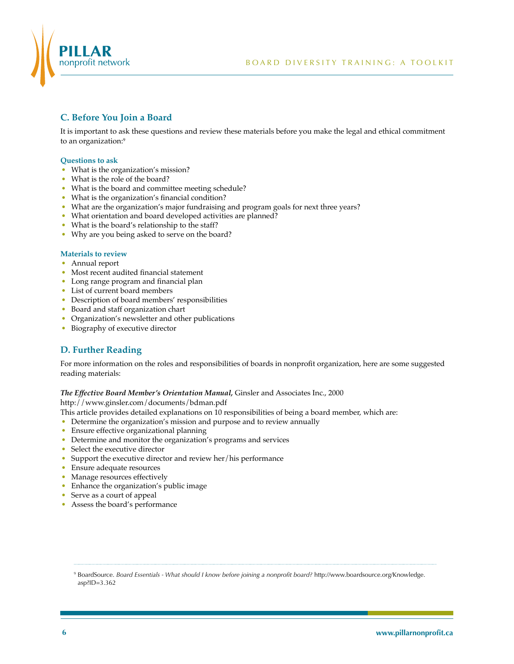

## **C. Before You Join a Board**

It is important to ask these questions and review these materials before you make the legal and ethical commitment to an organization:<sup>9</sup>

### **Questions to ask**

- What is the organization's mission?
- What is the role of the board?
- What is the board and committee meeting schedule?
- What is the organization's financial condition?
- What are the organization's major fundraising and program goals for next three years?
- What orientation and board developed activities are planned?
- What is the board's relationship to the staff?
- Why are you being asked to serve on the board?

### **Materials to review**

- Annual report
- Most recent audited financial statement
- Long range program and financial plan
- List of current board members
- Description of board members' responsibilities
- Board and staff organization chart
- Organization's newsletter and other publications
- Biography of executive director

### **D. Further Reading**

For more information on the roles and responsibilities of boards in nonprofit organization, here are some suggested reading materials:

### *The Effective Board Member's Orientation Manual,* Ginsler and Associates Inc., 2000

http://www.ginsler.com/documents/bdman.pdf

- This article provides detailed explanations on 10 responsibilities of being a board member, which are:
- Determine the organization's mission and purpose and to review annually
- Ensure effective organizational planning
- Determine and monitor the organization's programs and services
- Select the executive director
- Support the executive director and review her/his performance
- Ensure adequate resources
- Manage resources effectively
- Enhance the organization's public image
- Serve as a court of appeal
- Assess the board's performance

<sup>9</sup> BoardSource. *Board Essentials - What should I know before joining a nonprofit board?* http://www.boardsource.org/Knowledge. asp?ID=3.362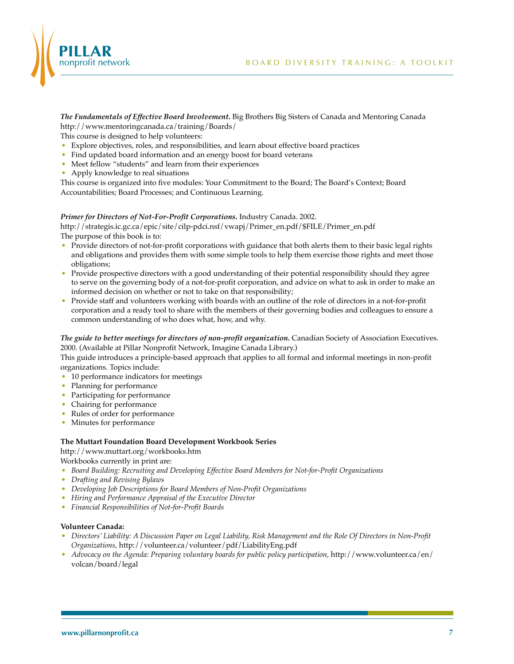

*The Fundamentals of Effective Board Involvement.* Big Brothers Big Sisters of Canada and Mentoring Canada http://www.mentoringcanada.ca/training/Boards/

This course is designed to help volunteers:

- Explore objectives, roles, and responsibilities, and learn about effective board practices
- Find updated board information and an energy boost for board veterans
- Meet fellow "students" and learn from their experiences
- Apply knowledge to real situations

This course is organized into five modules: Your Commitment to the Board; The Board's Context; Board Accountabilities; Board Processes; and Continuous Learning.

### *Primer for Directors of Not-For-Profit Corporations.* Industry Canada. 2002.

http://strategis.ic.gc.ca/epic/site/cilp-pdci.nsf/vwapj/Primer\_en.pdf/\$FILE/Primer\_en.pdf The purpose of this book is to:

- Provide directors of not-for-profit corporations with guidance that both alerts them to their basic legal rights and obligations and provides them with some simple tools to help them exercise those rights and meet those obligations;
- Provide prospective directors with a good understanding of their potential responsibility should they agree to serve on the governing body of a not-for-profit corporation, and advice on what to ask in order to make an informed decision on whether or not to take on that responsibility;
- Provide staff and volunteers working with boards with an outline of the role of directors in a not-for-profit corporation and a ready tool to share with the members of their governing bodies and colleagues to ensure a common understanding of who does what, how, and why.

*The guide to better meetings for directors of non-profit organization.* Canadian Society of Association Executives. 2000. (Available at Pillar Nonprofit Network, Imagine Canada Library.)

This guide introduces a principle-based approach that applies to all formal and informal meetings in non-profit organizations. Topics include:

- 10 performance indicators for meetings
- Planning for performance
- Participating for performance
- Chairing for performance
- Rules of order for performance
- Minutes for performance

### **The Muttart Foundation Board Development Workbook Series**

http://www.muttart.org/workbooks.htm

Workbooks currently in print are:

- *Board Building: Recruiting and Developing Effective Board Members for Not-for-Profit Organizations*
- *Drafting and Revising Bylaws*
- *Developing Job Descriptions for Board Members of Non-Profit Organizations*
- *Hiring and Performance Appraisal of the Executive Director*
- *Financial Responsibilities of Not-for-Profit Boards*

### **Volunteer Canada:**

- *Directors' Liability: A Discussion Paper on Legal Liability, Risk Management and the Role Of Directors in Non-Profit Organizations*, http://volunteer.ca/volunteer/pdf/LiabilityEng.pdf
- *Advocacy on the Agenda: Preparing voluntary boards for public policy participation*, http://www.volunteer.ca/en/ volcan/board/legal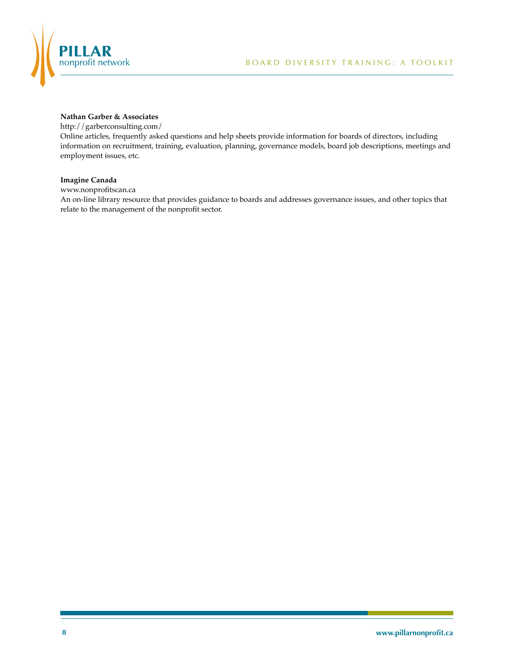

### **Nathan Garber & Associates**

http://garberconsulting.com/

Online articles, frequently asked questions and help sheets provide information for boards of directors, including information on recruitment, training, evaluation, planning, governance models, board job descriptions, meetings and employment issues, etc.

### **Imagine Canada**

www.nonprofitscan.ca

An on-line library resource that provides guidance to boards and addresses governance issues, and other topics that relate to the management of the nonprofit sector.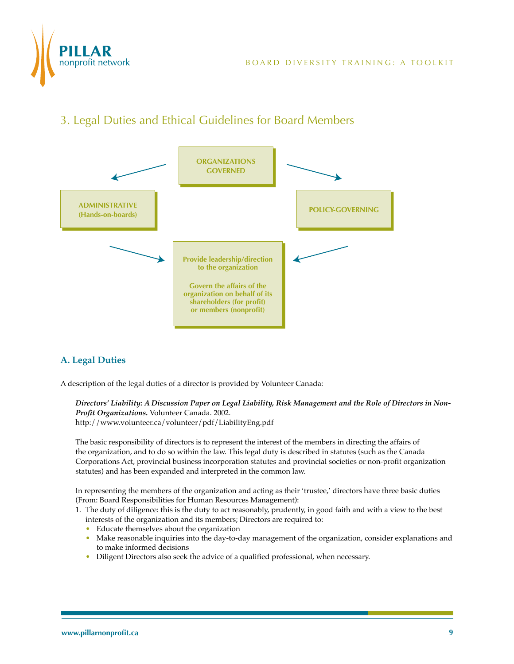

# 3. Legal Duties and Ethical Guidelines for Board Members



# **A. Legal Duties**

A description of the legal duties of a director is provided by Volunteer Canada:

*Directors' Liability: A Discussion Paper on Legal Liability, Risk Management and the Role of Directors in Non-Profit Organizations.* Volunteer Canada. 2002. http://www.volunteer.ca/volunteer/pdf/LiabilityEng.pdf

The basic responsibility of directors is to represent the interest of the members in directing the affairs of the organization, and to do so within the law. This legal duty is described in statutes (such as the Canada Corporations Act, provincial business incorporation statutes and provincial societies or non-profit organization statutes) and has been expanded and interpreted in the common law.

In representing the members of the organization and acting as their 'trustee,' directors have three basic duties (From: Board Responsibilities for Human Resources Management):

- 1. The duty of diligence: this is the duty to act reasonably, prudently, in good faith and with a view to the best interests of the organization and its members; Directors are required to:
	- Educate themselves about the organization
	- Make reasonable inquiries into the day-to-day management of the organization, consider explanations and to make informed decisions
	- Diligent Directors also seek the advice of a qualified professional, when necessary.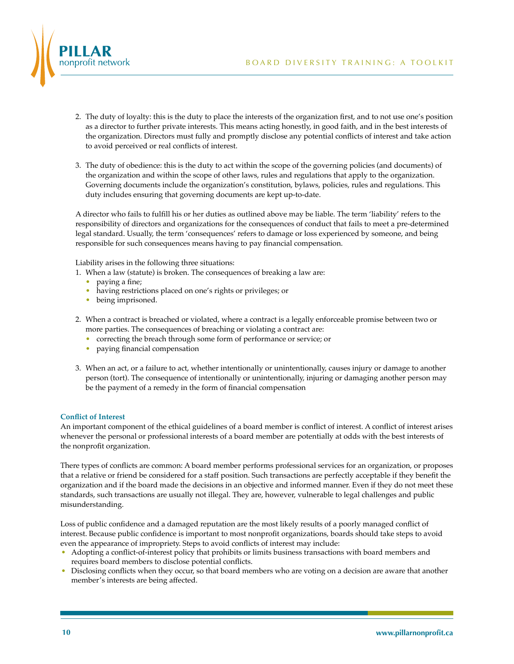

- 2. The duty of loyalty: this is the duty to place the interests of the organization first, and to not use one's position as a director to further private interests. This means acting honestly, in good faith, and in the best interests of the organization. Directors must fully and promptly disclose any potential conflicts of interest and take action to avoid perceived or real conflicts of interest.
- 3. The duty of obedience: this is the duty to act within the scope of the governing policies (and documents) of the organization and within the scope of other laws, rules and regulations that apply to the organization. Governing documents include the organization's constitution, bylaws, policies, rules and regulations. This duty includes ensuring that governing documents are kept up-to-date.

A director who fails to fulfill his or her duties as outlined above may be liable. The term 'liability' refers to the responsibility of directors and organizations for the consequences of conduct that fails to meet a pre-determined legal standard. Usually, the term 'consequences' refers to damage or loss experienced by someone, and being responsible for such consequences means having to pay financial compensation.

Liability arises in the following three situations:

- 1. When a law (statute) is broken. The consequences of breaking a law are:
	- paying a fine;
	- having restrictions placed on one's rights or privileges; or
	- being imprisoned.
- 2. When a contract is breached or violated, where a contract is a legally enforceable promise between two or more parties. The consequences of breaching or violating a contract are:
	- correcting the breach through some form of performance or service; or
	- paying financial compensation
- 3. When an act, or a failure to act, whether intentionally or unintentionally, causes injury or damage to another person (tort). The consequence of intentionally or unintentionally, injuring or damaging another person may be the payment of a remedy in the form of financial compensation

### **Conflict of Interest**

An important component of the ethical guidelines of a board member is conflict of interest. A conflict of interest arises whenever the personal or professional interests of a board member are potentially at odds with the best interests of the nonprofit organization.

There types of conflicts are common: A board member performs professional services for an organization, or proposes that a relative or friend be considered for a staff position. Such transactions are perfectly acceptable if they benefit the organization and if the board made the decisions in an objective and informed manner. Even if they do not meet these standards, such transactions are usually not illegal. They are, however, vulnerable to legal challenges and public misunderstanding.

Loss of public confidence and a damaged reputation are the most likely results of a poorly managed conflict of interest. Because public confidence is important to most nonprofit organizations, boards should take steps to avoid even the appearance of impropriety. Steps to avoid conflicts of interest may include:

- Adopting a conflict-of-interest policy that prohibits or limits business transactions with board members and requires board members to disclose potential conflicts.
- Disclosing conflicts when they occur, so that board members who are voting on a decision are aware that another member's interests are being affected.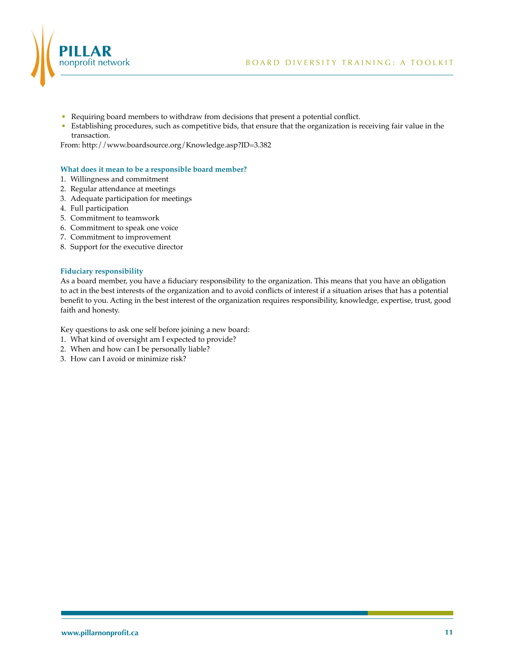

- Requiring board members to withdraw from decisions that present a potential conflict.
- Establishing procedures, such as competitive bids, that ensure that the organization is receiving fair value in the transaction.

From: http://www.boardsource.org/Knowledge.asp?ID=3.382

### **What does it mean to be a responsible board member?**

- 1. Willingness and commitment
- 2. Regular attendance at meetings
- 3. Adequate participation for meetings
- 4. Full participation
- 5. Commitment to teamwork
- 6. Commitment to speak one voice
- 7. Commitment to improvement
- 8. Support for the executive director

#### **Fiduciary responsibility**

As a board member, you have a fiduciary responsibility to the organization. This means that you have an obligation to act in the best interests of the organization and to avoid conflicts of interest if a situation arises that has a potential benefit to you. Acting in the best interest of the organization requires responsibility, knowledge, expertise, trust, good faith and honesty.

Key questions to ask one self before joining a new board:

- 1. What kind of oversight am I expected to provide?
- 2. When and how can I be personally liable?
- 3. How can I avoid or minimize risk?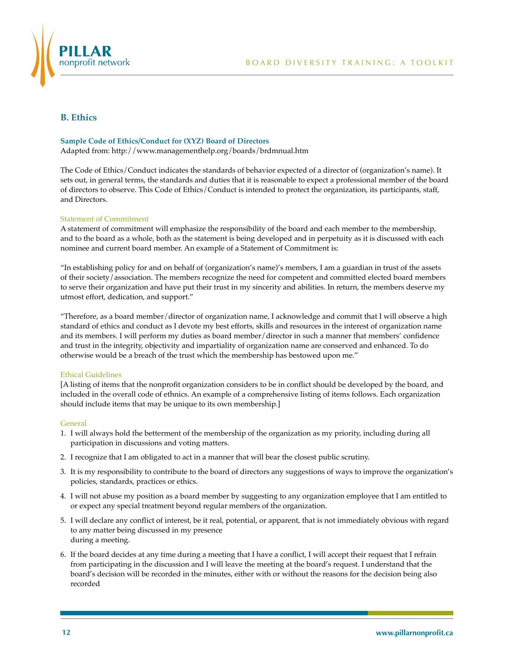

### **B. Ethics**

### **Sample Code of Ethics/Conduct for (XYZ) Board of Directors**

Adapted from: http://www.managementhelp.org/boards/brdmnual.htm

The Code of Ethics/Conduct indicates the standards of behavior expected of a director of (organization's name). It sets out, in general terms, the standards and duties that it is reasonable to expect a professional member of the board of directors to observe. This Code of Ethics/Conduct is intended to protect the organization, its participants, staff, and Directors.

### Statement of Commitment

A statement of commitment will emphasize the responsibility of the board and each member to the membership, and to the board as a whole, both as the statement is being developed and in perpetuity as it is discussed with each nominee and current board member. An example of a Statement of Commitment is:

"In establishing policy for and on behalf of (organization's name)'s members, I am a guardian in trust of the assets of their society/association. The members recognize the need for competent and committed elected board members to serve their organization and have put their trust in my sincerity and abilities. In return, the members deserve my utmost effort, dedication, and support."

"Therefore, as a board member/director of organization name, I acknowledge and commit that I will observe a high standard of ethics and conduct as I devote my best efforts, skills and resources in the interest of organization name and its members. I will perform my duties as board member/director in such a manner that members' confidence and trust in the integrity, objectivity and impartiality of organization name are conserved and enhanced. To do otherwise would be a breach of the trust which the membership has bestowed upon me."

### Ethical Guidelines

[A listing of items that the nonprofit organization considers to be in conflict should be developed by the board, and included in the overall code of ethnics. An example of a comprehensive listing of items follows. Each organization should include items that may be unique to its own membership.]

### **General**

- 1. I will always hold the betterment of the membership of the organization as my priority, including during all participation in discussions and voting matters.
- 2. I recognize that I am obligated to act in a manner that will bear the closest public scrutiny.
- 3. It is my responsibility to contribute to the board of directors any suggestions of ways to improve the organization's policies, standards, practices or ethics.
- 4. I will not abuse my position as a board member by suggesting to any organization employee that I am entitled to or expect any special treatment beyond regular members of the organization.
- 5. I will declare any conflict of interest, be it real, potential, or apparent, that is not immediately obvious with regard to any matter being discussed in my presence during a meeting.
- 6. If the board decides at any time during a meeting that I have a conflict, I will accept their request that I refrain from participating in the discussion and I will leave the meeting at the board's request. I understand that the board's decision will be recorded in the minutes, either with or without the reasons for the decision being also recorded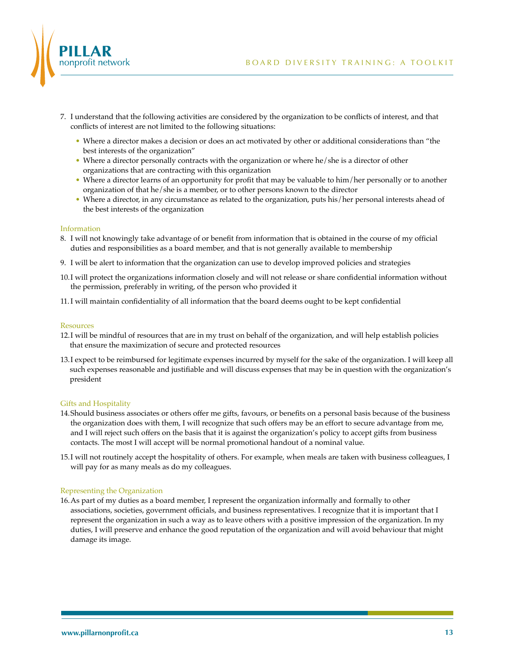



- 7. I understand that the following activities are considered by the organization to be conflicts of interest, and that conflicts of interest are not limited to the following situations:
	- Where a director makes a decision or does an act motivated by other or additional considerations than "the best interests of the organization"
	- Where a director personally contracts with the organization or where he/she is a director of other organizations that are contracting with this organization
	- Where a director learns of an opportunity for profit that may be valuable to him/her personally or to another organization of that he/she is a member, or to other persons known to the director
	- Where a director, in any circumstance as related to the organization, puts his/her personal interests ahead of the best interests of the organization

### Information

- 8. I will not knowingly take advantage of or benefit from information that is obtained in the course of my official duties and responsibilities as a board member, and that is not generally available to membership
- 9. I will be alert to information that the organization can use to develop improved policies and strategies
- 10.I will protect the organizations information closely and will not release or share confidential information without the permission, preferably in writing, of the person who provided it
- 11.I will maintain confidentiality of all information that the board deems ought to be kept confidential

### **Resources**

- 12.I will be mindful of resources that are in my trust on behalf of the organization, and will help establish policies that ensure the maximization of secure and protected resources
- 13.I expect to be reimbursed for legitimate expenses incurred by myself for the sake of the organization. I will keep all such expenses reasonable and justifiable and will discuss expenses that may be in question with the organization's president

### Gifts and Hospitality

- 14.Should business associates or others offer me gifts, favours, or benefits on a personal basis because of the business the organization does with them, I will recognize that such offers may be an effort to secure advantage from me, and I will reject such offers on the basis that it is against the organization's policy to accept gifts from business contacts. The most I will accept will be normal promotional handout of a nominal value.
- 15.I will not routinely accept the hospitality of others. For example, when meals are taken with business colleagues, I will pay for as many meals as do my colleagues.

### Representing the Organization

16.As part of my duties as a board member, I represent the organization informally and formally to other associations, societies, government officials, and business representatives. I recognize that it is important that I represent the organization in such a way as to leave others with a positive impression of the organization. In my duties, I will preserve and enhance the good reputation of the organization and will avoid behaviour that might damage its image.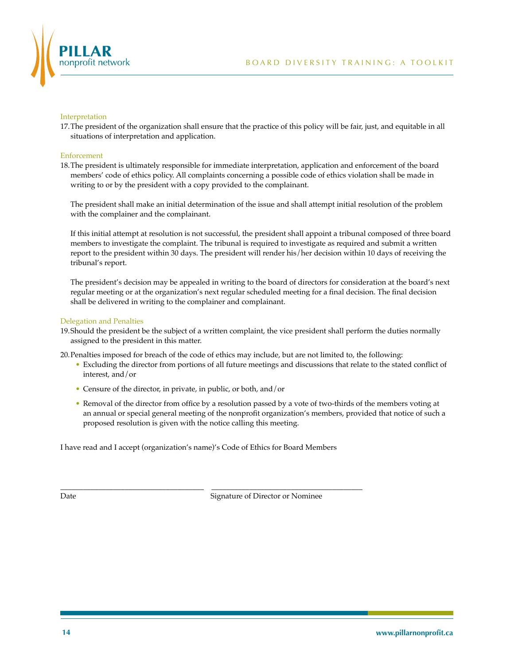

#### Interpretation

17.The president of the organization shall ensure that the practice of this policy will be fair, just, and equitable in all situations of interpretation and application.

#### Enforcement

18.The president is ultimately responsible for immediate interpretation, application and enforcement of the board members' code of ethics policy. All complaints concerning a possible code of ethics violation shall be made in writing to or by the president with a copy provided to the complainant.

 The president shall make an initial determination of the issue and shall attempt initial resolution of the problem with the complainer and the complainant.

If this initial attempt at resolution is not successful, the president shall appoint a tribunal composed of three board members to investigate the complaint. The tribunal is required to investigate as required and submit a written report to the president within 30 days. The president will render his/her decision within 10 days of receiving the tribunal's report.

The president's decision may be appealed in writing to the board of directors for consideration at the board's next regular meeting or at the organization's next regular scheduled meeting for a final decision. The final decision shall be delivered in writing to the complainer and complainant.

#### Delegation and Penalties

19.Should the president be the subject of a written complaint, the vice president shall perform the duties normally assigned to the president in this matter.

20.Penalties imposed for breach of the code of ethics may include, but are not limited to, the following:

- Excluding the director from portions of all future meetings and discussions that relate to the stated conflict of interest, and/or
- Censure of the director, in private, in public, or both, and/or
- Removal of the director from office by a resolution passed by a vote of two-thirds of the members voting at an annual or special general meeting of the nonprofit organization's members, provided that notice of such a proposed resolution is given with the notice calling this meeting.

I have read and I accept (organization's name)'s Code of Ethics for Board Members

\_\_\_\_\_\_\_\_\_\_\_\_\_\_\_\_\_\_\_\_\_\_\_\_\_\_\_\_\_\_\_\_\_\_\_\_\_\_ \_\_\_\_\_\_\_\_\_\_\_\_\_\_\_\_\_\_\_\_\_\_\_\_\_\_\_\_\_\_\_\_\_\_\_\_\_\_\_\_

Date Signature of Director or Nominee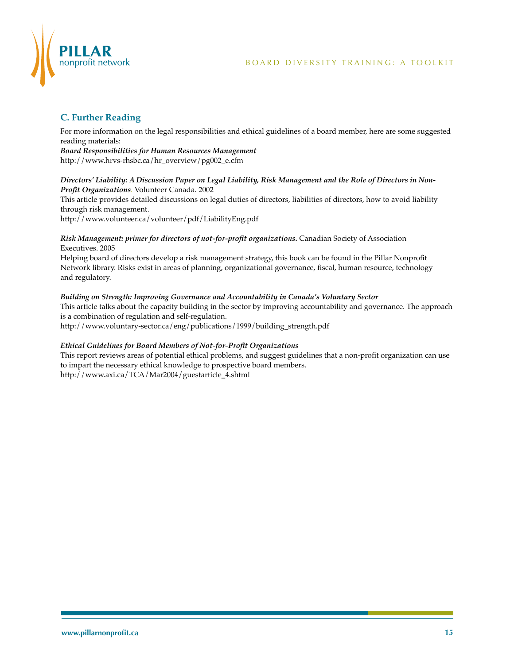

## **C. Further Reading**

For more information on the legal responsibilities and ethical guidelines of a board member, here are some suggested reading materials:

*Board Responsibilities for Human Resources Management* http://www.hrvs-rhsbc.ca/hr\_overview/pg002\_e.cfm

### *Directors' Liability: A Discussion Paper on Legal Liability, Risk Management and the Role of Directors in Non-Profit Organizations.* Volunteer Canada. 2002

This article provides detailed discussions on legal duties of directors, liabilities of directors, how to avoid liability through risk management.

http://www.volunteer.ca/volunteer/pdf/LiabilityEng.pdf

### *Risk Management: primer for directors of not-for-profit organizations.* Canadian Society of Association Executives. 2005

Helping board of directors develop a risk management strategy, this book can be found in the Pillar Nonprofit Network library. Risks exist in areas of planning, organizational governance, fiscal, human resource, technology and regulatory.

### *Building on Strength: Improving Governance and Accountability in Canada's Voluntary Sector*

This article talks about the capacity building in the sector by improving accountability and governance. The approach is a combination of regulation and self-regulation.

http://www.voluntary-sector.ca/eng/publications/1999/building\_strength.pdf

### *Ethical Guidelines for Board Members of Not-for-Profit Organizations*

This report reviews areas of potential ethical problems, and suggest guidelines that a non-profit organization can use to impart the necessary ethical knowledge to prospective board members. http://www.axi.ca/TCA/Mar2004/guestarticle\_4.shtml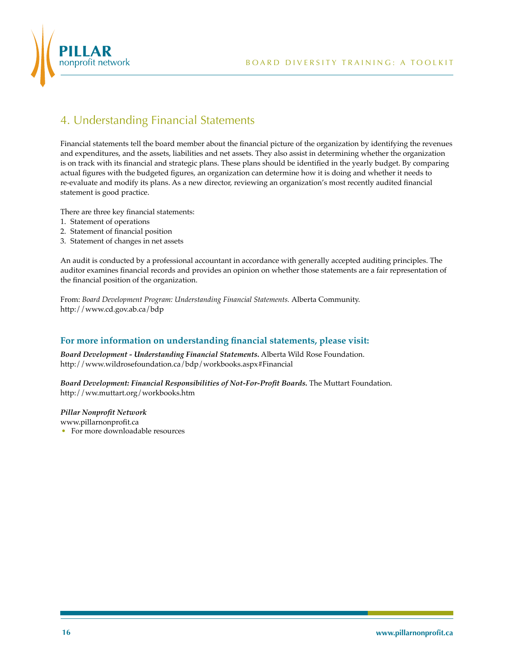

# 4. Understanding Financial Statements

Financial statements tell the board member about the financial picture of the organization by identifying the revenues and expenditures, and the assets, liabilities and net assets. They also assist in determining whether the organization is on track with its financial and strategic plans. These plans should be identified in the yearly budget. By comparing actual figures with the budgeted figures, an organization can determine how it is doing and whether it needs to re-evaluate and modify its plans. As a new director, reviewing an organization's most recently audited financial statement is good practice.

There are three key financial statements:

- 1. Statement of operations
- 2. Statement of financial position
- 3. Statement of changes in net assets

An audit is conducted by a professional accountant in accordance with generally accepted auditing principles. The auditor examines financial records and provides an opinion on whether those statements are a fair representation of the financial position of the organization.

From: *Board Development Program: Understanding Financial Statements.* Alberta Community. http://www.cd.gov.ab.ca/bdp

### **For more information on understanding financial statements, please visit:**

*Board Development - Understanding Financial Statements.* Alberta Wild Rose Foundation. http://www.wildrosefoundation.ca/bdp/workbooks.aspx#Financial

*Board Development: Financial Responsibilities of Not-For-Profit Boards.* The Muttart Foundation. http://ww.muttart.org/workbooks.htm

*Pillar Nonprofit Network* www.pillarnonprofit.ca

• For more downloadable resources